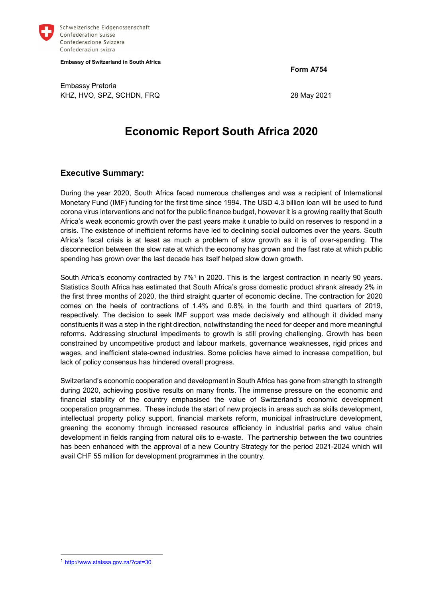

Schweizerische Eidgenossenschaft Confédération suisse Confederazione Svizzera Confederaziun svizra

Embassy of Switzerland in South Africa

Form A754

Embassy Pretoria KHZ, HVO, SPZ, SCHDN, FRQ 28 May 2021

# Economic Report South Africa 2020

## Executive Summary:

During the year 2020, South Africa faced numerous challenges and was a recipient of International Monetary Fund (IMF) funding for the first time since 1994. The USD 4.3 billion loan will be used to fund corona virus interventions and not for the public finance budget, however it is a growing reality that South Africa's weak economic growth over the past years make it unable to build on reserves to respond in a crisis. The existence of inefficient reforms have led to declining social outcomes over the years. South Africa's fiscal crisis is at least as much a problem of slow growth as it is of over-spending. The disconnection between the slow rate at which the economy has grown and the fast rate at which public spending has grown over the last decade has itself helped slow down growth.

South Africa's economy contracted by 7%<sup>1</sup> in 2020. This is the largest contraction in nearly 90 years. Statistics South Africa has estimated that South Africa's gross domestic product shrank already 2% in the first three months of 2020, the third straight quarter of economic decline. The contraction for 2020 comes on the heels of contractions of 1.4% and 0.8% in the fourth and third quarters of 2019, respectively. The decision to seek IMF support was made decisively and although it divided many constituents it was a step in the right direction, notwithstanding the need for deeper and more meaningful reforms. Addressing structural impediments to growth is still proving challenging. Growth has been constrained by uncompetitive product and labour markets, governance weaknesses, rigid prices and wages, and inefficient state-owned industries. Some policies have aimed to increase competition, but lack of policy consensus has hindered overall progress.

Switzerland's economic cooperation and development in South Africa has gone from strength to strength during 2020, achieving positive results on many fronts. The immense pressure on the economic and financial stability of the country emphasised the value of Switzerland's economic development cooperation programmes. These include the start of new projects in areas such as skills development, intellectual property policy support, financial markets reform, municipal infrastructure development, greening the economy through increased resource efficiency in industrial parks and value chain development in fields ranging from natural oils to e-waste. The partnership between the two countries has been enhanced with the approval of a new Country Strategy for the period 2021-2024 which will avail CHF 55 million for development programmes in the country.

<sup>1</sup> http://www.statssa.gov.za/?cat=30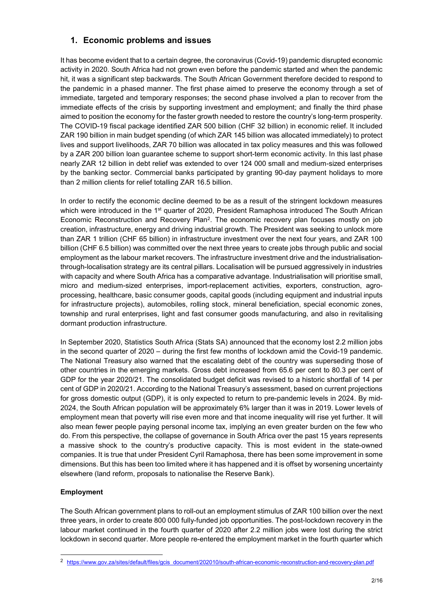## 1. Economic problems and issues

It has become evident that to a certain degree, the coronavirus (Covid-19) pandemic disrupted economic activity in 2020. South Africa had not grown even before the pandemic started and when the pandemic hit, it was a significant step backwards. The South African Government therefore decided to respond to the pandemic in a phased manner. The first phase aimed to preserve the economy through a set of immediate, targeted and temporary responses; the second phase involved a plan to recover from the immediate effects of the crisis by supporting investment and employment; and finally the third phase aimed to position the economy for the faster growth needed to restore the country's long-term prosperity. The COVID-19 fiscal package identified ZAR 500 billion (CHF 32 billion) in economic relief. It included ZAR 190 billion in main budget spending (of which ZAR 145 billion was allocated immediately) to protect lives and support livelihoods, ZAR 70 billion was allocated in tax policy measures and this was followed by a ZAR 200 billion loan guarantee scheme to support short-term economic activity. In this last phase nearly ZAR 12 billion in debt relief was extended to over 124 000 small and medium-sized enterprises by the banking sector. Commercial banks participated by granting 90-day payment holidays to more than 2 million clients for relief totalling ZAR 16.5 billion.

In order to rectify the economic decline deemed to be as a result of the stringent lockdown measures which were introduced in the 1<sup>st</sup> quarter of 2020, President Ramaphosa introduced The South African Economic Reconstruction and Recovery Plan<sup>2</sup>. The economic recovery plan focuses mostly on job creation, infrastructure, energy and driving industrial growth. The President was seeking to unlock more than ZAR 1 trillion (CHF 65 billion) in infrastructure investment over the next four years, and ZAR 100 billion (CHF 6.5 billion) was committed over the next three years to create jobs through public and social employment as the labour market recovers. The infrastructure investment drive and the industrialisationthrough-localisation strategy are its central pillars. Localisation will be pursued aggressively in industries with capacity and where South Africa has a comparative advantage. Industrialisation will prioritise small, micro and medium-sized enterprises, import-replacement activities, exporters, construction, agroprocessing, healthcare, basic consumer goods, capital goods (including equipment and industrial inputs for infrastructure projects), automobiles, rolling stock, mineral beneficiation, special economic zones, township and rural enterprises, light and fast consumer goods manufacturing, and also in revitalising dormant production infrastructure.

In September 2020, Statistics South Africa (Stats SA) announced that the economy lost 2.2 million jobs in the second quarter of 2020 – during the first few months of lockdown amid the Covid-19 pandemic. The National Treasury also warned that the escalating debt of the country was superseding those of other countries in the emerging markets. Gross debt increased from 65.6 per cent to 80.3 per cent of GDP for the year 2020/21. The consolidated budget deficit was revised to a historic shortfall of 14 per cent of GDP in 2020/21. According to the National Treasury's assessment, based on current projections for gross domestic output (GDP), it is only expected to return to pre-pandemic levels in 2024. By mid-2024, the South African population will be approximately 6% larger than it was in 2019. Lower levels of employment mean that poverty will rise even more and that income inequality will rise yet further. It will also mean fewer people paying personal income tax, implying an even greater burden on the few who do. From this perspective, the collapse of governance in South Africa over the past 15 years represents a massive shock to the country's productive capacity. This is most evident in the state-owned companies. It is true that under President Cyril Ramaphosa, there has been some improvement in some dimensions. But this has been too limited where it has happened and it is offset by worsening uncertainty elsewhere (land reform, proposals to nationalise the Reserve Bank).

#### Employment

-

The South African government plans to roll-out an employment stimulus of ZAR 100 billion over the next three years, in order to create 800 000 fully-funded job opportunities. The post-lockdown recovery in the labour market continued in the fourth quarter of 2020 after 2.2 million jobs were lost during the strict lockdown in second quarter. More people re-entered the employment market in the fourth quarter which

<sup>2</sup> https://www.gov.za/sites/default/files/gcis\_document/202010/south-african-economic-reconstruction-and-recovery-plan.pdf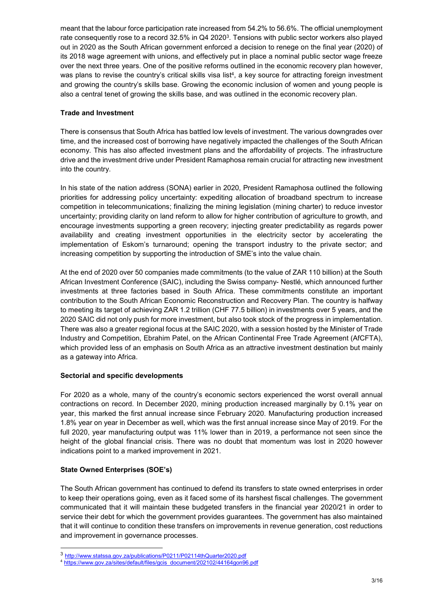meant that the labour force participation rate increased from 54.2% to 56.6%. The official unemployment rate consequently rose to a record 32.5% in Q4 2020 $^3$ . Tensions with public sector workers also played out in 2020 as the South African government enforced a decision to renege on the final year (2020) of its 2018 wage agreement with unions, and effectively put in place a nominal public sector wage freeze over the next three years. One of the positive reforms outlined in the economic recovery plan however, was plans to revise the country's critical skills visa list<sup>4</sup>, a key source for attracting foreign investment and growing the country's skills base. Growing the economic inclusion of women and young people is also a central tenet of growing the skills base, and was outlined in the economic recovery plan.

#### Trade and Investment

There is consensus that South Africa has battled low levels of investment. The various downgrades over time, and the increased cost of borrowing have negatively impacted the challenges of the South African economy. This has also affected investment plans and the affordability of projects. The infrastructure drive and the investment drive under President Ramaphosa remain crucial for attracting new investment into the country.

In his state of the nation address (SONA) earlier in 2020, President Ramaphosa outlined the following priorities for addressing policy uncertainty: expediting allocation of broadband spectrum to increase competition in telecommunications; finalizing the mining legislation (mining charter) to reduce investor uncertainty; providing clarity on land reform to allow for higher contribution of agriculture to growth, and encourage investments supporting a green recovery; injecting greater predictability as regards power availability and creating investment opportunities in the electricity sector by accelerating the implementation of Eskom's turnaround; opening the transport industry to the private sector; and increasing competition by supporting the introduction of SME's into the value chain.

At the end of 2020 over 50 companies made commitments (to the value of ZAR 110 billion) at the South African Investment Conference (SAIC), including the Swiss company- Nestlé, which announced further investments at three factories based in South Africa. These commitments constitute an important contribution to the South African Economic Reconstruction and Recovery Plan. The country is halfway to meeting its target of achieving ZAR 1.2 trillion (CHF 77.5 billion) in investments over 5 years, and the 2020 SAIC did not only push for more investment, but also took stock of the progress in implementation. There was also a greater regional focus at the SAIC 2020, with a session hosted by the Minister of Trade Industry and Competition, Ebrahim Patel, on the African Continental Free Trade Agreement (AfCFTA), which provided less of an emphasis on South Africa as an attractive investment destination but mainly as a gateway into Africa.

#### Sectorial and specific developments

For 2020 as a whole, many of the country's economic sectors experienced the worst overall annual contractions on record. In December 2020, mining production increased marginally by 0.1% year on year, this marked the first annual increase since February 2020. Manufacturing production increased 1.8% year on year in December as well, which was the first annual increase since May of 2019. For the full 2020, year manufacturing output was 11% lower than in 2019, a performance not seen since the height of the global financial crisis. There was no doubt that momentum was lost in 2020 however indications point to a marked improvement in 2021.

#### State Owned Enterprises (SOE's)

-

The South African government has continued to defend its transfers to state owned enterprises in order to keep their operations going, even as it faced some of its harshest fiscal challenges. The government communicated that it will maintain these budgeted transfers in the financial year 2020/21 in order to service their debt for which the government provides guarantees. The government has also maintained that it will continue to condition these transfers on improvements in revenue generation, cost reductions and improvement in governance processes.

<sup>3</sup> http://www.statssa.gov.za/publications/P0211/P02114thQuarter2020.pdf

<sup>4</sup> https://www.gov.za/sites/default/files/gcis\_document/202102/44164gon96.pdf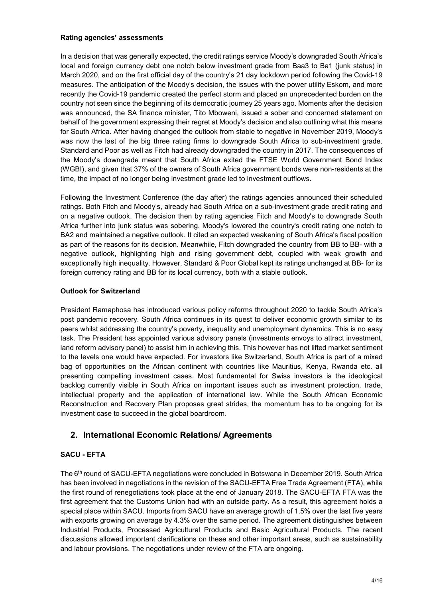#### Rating agencies' assessments

In a decision that was generally expected, the credit ratings service Moody's downgraded South Africa's local and foreign currency debt one notch below investment grade from Baa3 to Ba1 (junk status) in March 2020, and on the first official day of the country's 21 day lockdown period following the Covid-19 measures. The anticipation of the Moody's decision, the issues with the power utility Eskom, and more recently the Covid-19 pandemic created the perfect storm and placed an unprecedented burden on the country not seen since the beginning of its democratic journey 25 years ago. Moments after the decision was announced, the SA finance minister, Tito Mboweni, issued a sober and concerned statement on behalf of the government expressing their regret at Moody's decision and also outlining what this means for South Africa. After having changed the outlook from stable to negative in November 2019, Moody's was now the last of the big three rating firms to downgrade South Africa to sub-investment grade. Standard and Poor as well as Fitch had already downgraded the country in 2017. The consequences of the Moody's downgrade meant that South Africa exited the FTSE World Government Bond Index (WGBI), and given that 37% of the owners of South Africa government bonds were non-residents at the time, the impact of no longer being investment grade led to investment outflows.

Following the Investment Conference (the day after) the ratings agencies announced their scheduled ratings. Both Fitch and Moody's, already had South Africa on a sub-investment grade credit rating and on a negative outlook. The decision then by rating agencies Fitch and Moody's to downgrade South Africa further into junk status was sobering. Moody's lowered the country's credit rating one notch to BA2 and maintained a negative outlook. It cited an expected weakening of South Africa's fiscal position as part of the reasons for its decision. Meanwhile, Fitch downgraded the country from BB to BB- with a negative outlook, highlighting high and rising government debt, coupled with weak growth and exceptionally high inequality. However, Standard & Poor Global kept its ratings unchanged at BB- for its foreign currency rating and BB for its local currency, both with a stable outlook.

#### Outlook for Switzerland

President Ramaphosa has introduced various policy reforms throughout 2020 to tackle South Africa's post pandemic recovery. South Africa continues in its quest to deliver economic growth similar to its peers whilst addressing the country's poverty, inequality and unemployment dynamics. This is no easy task. The President has appointed various advisory panels (investments envoys to attract investment, land reform advisory panel) to assist him in achieving this. This however has not lifted market sentiment to the levels one would have expected. For investors like Switzerland, South Africa is part of a mixed bag of opportunities on the African continent with countries like Mauritius, Kenya, Rwanda etc. all presenting compelling investment cases. Most fundamental for Swiss investors is the ideological backlog currently visible in South Africa on important issues such as investment protection, trade, intellectual property and the application of international law. While the South African Economic Reconstruction and Recovery Plan proposes great strides, the momentum has to be ongoing for its investment case to succeed in the global boardroom.

## 2. International Economic Relations/ Agreements

#### SACU - EFTA

The 6th round of SACU-EFTA negotiations were concluded in Botswana in December 2019. South Africa has been involved in negotiations in the revision of the SACU-EFTA Free Trade Agreement (FTA), while the first round of renegotiations took place at the end of January 2018. The SACU-EFTA FTA was the first agreement that the Customs Union had with an outside party. As a result, this agreement holds a special place within SACU. Imports from SACU have an average growth of 1.5% over the last five years with exports growing on average by 4.3% over the same period. The agreement distinguishes between Industrial Products, Processed Agricultural Products and Basic Agricultural Products. The recent discussions allowed important clarifications on these and other important areas, such as sustainability and labour provisions. The negotiations under review of the FTA are ongoing.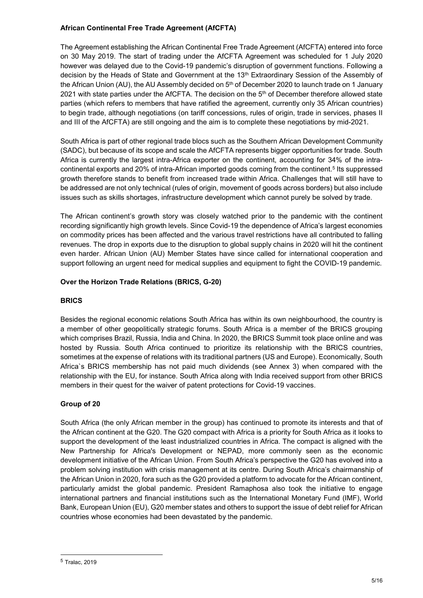#### African Continental Free Trade Agreement (AfCFTA)

The Agreement establishing the African Continental Free Trade Agreement (AfCFTA) entered into force on 30 May 2019. The start of trading under the AfCFTA Agreement was scheduled for 1 July 2020 however was delayed due to the Covid-19 pandemic's disruption of government functions. Following a decision by the Heads of State and Government at the 13<sup>th</sup> Extraordinary Session of the Assembly of the African Union (AU), the AU Assembly decided on 5<sup>th</sup> of December 2020 to launch trade on 1 January 2021 with state parties under the AfCFTA. The decision on the 5<sup>th</sup> of December therefore allowed state parties (which refers to members that have ratified the agreement, currently only 35 African countries) to begin trade, although negotiations (on tariff concessions, rules of origin, trade in services, phases II and III of the AfCFTA) are still ongoing and the aim is to complete these negotiations by mid-2021.

South Africa is part of other regional trade blocs such as the Southern African Development Community (SADC), but because of its scope and scale the AfCFTA represents bigger opportunities for trade. South Africa is currently the largest intra-Africa exporter on the continent, accounting for 34% of the intracontinental exports and 20% of intra-African imported goods coming from the continent.<sup>5</sup> Its suppressed growth therefore stands to benefit from increased trade within Africa. Challenges that will still have to be addressed are not only technical (rules of origin, movement of goods across borders) but also include issues such as skills shortages, infrastructure development which cannot purely be solved by trade.

The African continent's growth story was closely watched prior to the pandemic with the continent recording significantly high growth levels. Since Covid-19 the dependence of Africa's largest economies on commodity prices has been affected and the various travel restrictions have all contributed to falling revenues. The drop in exports due to the disruption to global supply chains in 2020 will hit the continent even harder. African Union (AU) Member States have since called for international cooperation and support following an urgent need for medical supplies and equipment to fight the COVID-19 pandemic.

### Over the Horizon Trade Relations (BRICS, G-20)

#### **BRICS**

Besides the regional economic relations South Africa has within its own neighbourhood, the country is a member of other geopolitically strategic forums. South Africa is a member of the BRICS grouping which comprises Brazil, Russia, India and China. In 2020, the BRICS Summit took place online and was hosted by Russia. South Africa continued to prioritize its relationship with the BRICS countries, sometimes at the expense of relations with its traditional partners (US and Europe). Economically, South Africa`s BRICS membership has not paid much dividends (see Annex 3) when compared with the relationship with the EU, for instance. South Africa along with India received support from other BRICS members in their quest for the waiver of patent protections for Covid-19 vaccines.

## Group of 20

South Africa (the only African member in the group) has continued to promote its interests and that of the African continent at the G20. The G20 compact with Africa is a priority for South Africa as it looks to support the development of the least industrialized countries in Africa. The compact is aligned with the New Partnership for Africa's Development or NEPAD, more commonly seen as the economic development initiative of the African Union. From South Africa's perspective the G20 has evolved into a problem solving institution with crisis management at its centre. During South Africa's chairmanship of the African Union in 2020, fora such as the G20 provided a platform to advocate for the African continent, particularly amidst the global pandemic. President Ramaphosa also took the initiative to engage international partners and financial institutions such as the International Monetary Fund (IMF), World Bank, European Union (EU), G20 member states and others to support the issue of debt relief for African countries whose economies had been devastated by the pandemic.

<sup>5</sup> Tralac, 2019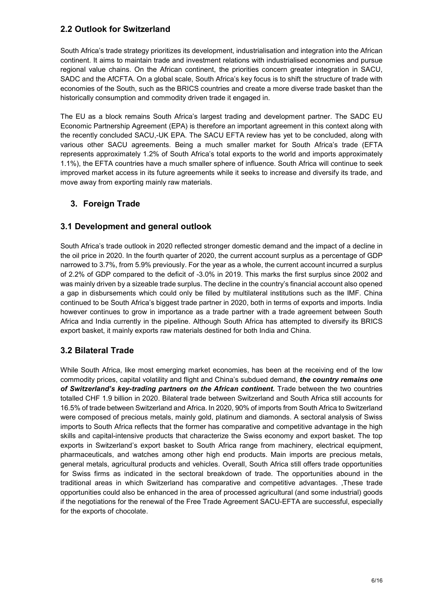## 2.2 Outlook for Switzerland

South Africa's trade strategy prioritizes its development, industrialisation and integration into the African continent. It aims to maintain trade and investment relations with industrialised economies and pursue regional value chains. On the African continent, the priorities concern greater integration in SACU, SADC and the AfCFTA. On a global scale, South Africa's key focus is to shift the structure of trade with economies of the South, such as the BRICS countries and create a more diverse trade basket than the historically consumption and commodity driven trade it engaged in.

The EU as a block remains South Africa's largest trading and development partner. The SADC EU Economic Partnership Agreement (EPA) is therefore an important agreement in this context along with the recently concluded SACU,-UK EPA. The SACU EFTA review has yet to be concluded, along with various other SACU agreements. Being a much smaller market for South Africa's trade (EFTA represents approximately 1.2% of South Africa's total exports to the world and imports approximately 1.1%), the EFTA countries have a much smaller sphere of influence. South Africa will continue to seek improved market access in its future agreements while it seeks to increase and diversify its trade, and move away from exporting mainly raw materials.

## 3. Foreign Trade

## 3.1 Development and general outlook

South Africa's trade outlook in 2020 reflected stronger domestic demand and the impact of a decline in the oil price in 2020. In the fourth quarter of 2020, the current account surplus as a percentage of GDP narrowed to 3.7%, from 5.9% previously. For the year as a whole, the current account incurred a surplus of 2.2% of GDP compared to the deficit of -3.0% in 2019. This marks the first surplus since 2002 and was mainly driven by a sizeable trade surplus. The decline in the country's financial account also opened a gap in disbursements which could only be filled by multilateral institutions such as the IMF. China continued to be South Africa's biggest trade partner in 2020, both in terms of exports and imports. India however continues to grow in importance as a trade partner with a trade agreement between South Africa and India currently in the pipeline. Although South Africa has attempted to diversify its BRICS export basket, it mainly exports raw materials destined for both India and China.

## 3.2 Bilateral Trade

While South Africa, like most emerging market economies, has been at the receiving end of the low commodity prices, capital volatility and flight and China's subdued demand, the country remains one of Switzerland's key-trading partners on the African continent. Trade between the two countries totalled CHF 1.9 billion in 2020. Bilateral trade between Switzerland and South Africa still accounts for 16.5% of trade between Switzerland and Africa. In 2020, 90% of imports from South Africa to Switzerland were composed of precious metals, mainly gold, platinum and diamonds. A sectoral analysis of Swiss imports to South Africa reflects that the former has comparative and competitive advantage in the high skills and capital-intensive products that characterize the Swiss economy and export basket. The top exports in Switzerland's export basket to South Africa range from machinery, electrical equipment, pharmaceuticals, and watches among other high end products. Main imports are precious metals, general metals, agricultural products and vehicles. Overall, South Africa still offers trade opportunities for Swiss firms as indicated in the sectoral breakdown of trade. The opportunities abound in the traditional areas in which Switzerland has comparative and competitive advantages. ,These trade opportunities could also be enhanced in the area of processed agricultural (and some industrial) goods if the negotiations for the renewal of the Free Trade Agreement SACU-EFTA are successful, especially for the exports of chocolate.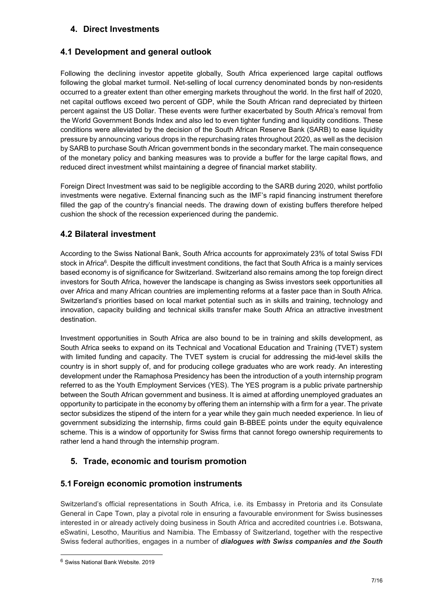## 4. Direct Investments

## 4.1 Development and general outlook

Following the declining investor appetite globally, South Africa experienced large capital outflows following the global market turmoil. Net-selling of local currency denominated bonds by non-residents occurred to a greater extent than other emerging markets throughout the world. In the first half of 2020, net capital outflows exceed two percent of GDP, while the South African rand depreciated by thirteen percent against the US Dollar. These events were further exacerbated by South Africa's removal from the World Government Bonds Index and also led to even tighter funding and liquidity conditions. These conditions were alleviated by the decision of the South African Reserve Bank (SARB) to ease liquidity pressure by announcing various drops in the repurchasing rates throughout 2020, as well as the decision by SARB to purchase South African government bonds in the secondary market. The main consequence of the monetary policy and banking measures was to provide a buffer for the large capital flows, and reduced direct investment whilst maintaining a degree of financial market stability.

Foreign Direct Investment was said to be negligible according to the SARB during 2020, whilst portfolio investments were negative. External financing such as the IMF's rapid financing instrument therefore filled the gap of the country's financial needs. The drawing down of existing buffers therefore helped cushion the shock of the recession experienced during the pandemic.

## 4.2 Bilateral investment

According to the Swiss National Bank, South Africa accounts for approximately 23% of total Swiss FDI stock in Africa<sup>6</sup>. Despite the difficult investment conditions, the fact that South Africa is a mainly services based economy is of significance for Switzerland. Switzerland also remains among the top foreign direct investors for South Africa, however the landscape is changing as Swiss investors seek opportunities all over Africa and many African countries are implementing reforms at a faster pace than in South Africa. Switzerland's priorities based on local market potential such as in skills and training, technology and innovation, capacity building and technical skills transfer make South Africa an attractive investment destination.

Investment opportunities in South Africa are also bound to be in training and skills development, as South Africa seeks to expand on its Technical and Vocational Education and Training (TVET) system with limited funding and capacity. The TVET system is crucial for addressing the mid-level skills the country is in short supply of, and for producing college graduates who are work ready. An interesting development under the Ramaphosa Presidency has been the introduction of a youth internship program referred to as the Youth Employment Services (YES). The YES program is a public private partnership between the South African government and business. It is aimed at affording unemployed graduates an opportunity to participate in the economy by offering them an internship with a firm for a year. The private sector subsidizes the stipend of the intern for a year while they gain much needed experience. In lieu of government subsidizing the internship, firms could gain B-BBEE points under the equity equivalence scheme. This is a window of opportunity for Swiss firms that cannot forego ownership requirements to rather lend a hand through the internship program.

## 5. Trade, economic and tourism promotion

## 5.1 Foreign economic promotion instruments

Switzerland's official representations in South Africa, i.e. its Embassy in Pretoria and its Consulate General in Cape Town, play a pivotal role in ensuring a favourable environment for Swiss businesses interested in or already actively doing business in South Africa and accredited countries i.e. Botswana, eSwatini, Lesotho, Mauritius and Namibia. The Embassy of Switzerland, together with the respective Swiss federal authorities, engages in a number of *dialoques with Swiss companies and the South* 

<sup>6</sup> Swiss National Bank Website. 2019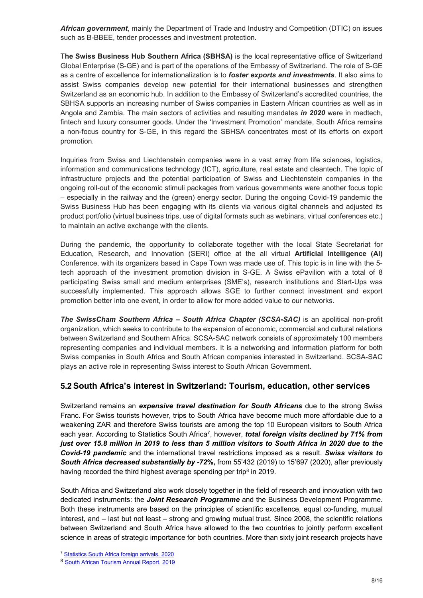African government, mainly the Department of Trade and Industry and Competition (DTIC) on issues such as B-BBEE, tender processes and investment protection.

The Swiss Business Hub Southern Africa (SBHSA) is the local representative office of Switzerland Global Enterprise (S-GE) and is part of the operations of the Embassy of Switzerland. The role of S-GE as a centre of excellence for internationalization is to *foster exports and investments*. It also aims to assist Swiss companies develop new potential for their international businesses and strengthen Switzerland as an economic hub. In addition to the Embassy of Switzerland's accredited countries, the SBHSA supports an increasing number of Swiss companies in Eastern African countries as well as in Angola and Zambia. The main sectors of activities and resulting mandates in 2020 were in medtech, fintech and luxury consumer goods. Under the 'Investment Promotion' mandate, South Africa remains a non-focus country for S-GE, in this regard the SBHSA concentrates most of its efforts on export promotion.

Inquiries from Swiss and Liechtenstein companies were in a vast array from life sciences, logistics, information and communications technology (ICT), agriculture, real estate and cleantech. The topic of infrastructure projects and the potential participation of Swiss and Liechtenstein companies in the ongoing roll-out of the economic stimuli packages from various governments were another focus topic – especially in the railway and the (green) energy sector. During the ongoing Covid-19 pandemic the Swiss Business Hub has been engaging with its clients via various digital channels and adjusted its product portfolio (virtual business trips, use of digital formats such as webinars, virtual conferences etc.) to maintain an active exchange with the clients.

During the pandemic, the opportunity to collaborate together with the local State Secretariat for Education, Research, and Innovation (SERI) office at the all virtual Artificial Intelligence (AI) Conference, with its organizers based in Cape Town was made use of. This topic is in line with the 5 tech approach of the investment promotion division in S-GE. A Swiss ePavilion with a total of 8 participating Swiss small and medium enterprises (SME's), research institutions and Start-Ups was successfully implemented. This approach allows SGE to further connect investment and export promotion better into one event, in order to allow for more added value to our networks.

The SwissCham Southern Africa – South Africa Chapter (SCSA-SAC) is an apolitical non-profit organization, which seeks to contribute to the expansion of economic, commercial and cultural relations between Switzerland and Southern Africa. SCSA-SAC network consists of approximately 100 members representing companies and individual members. It is a networking and information platform for both Swiss companies in South Africa and South African companies interested in Switzerland. SCSA-SAC plays an active role in representing Swiss interest to South African Government.

## 5.2 South Africa's interest in Switzerland: Tourism, education, other services

Switzerland remains an expensive travel destination for South Africans due to the strong Swiss Franc. For Swiss tourists however, trips to South Africa have become much more affordable due to a weakening ZAR and therefore Swiss tourists are among the top 10 European visitors to South Africa each year. According to Statistics South Africa<sup>7</sup>, however, total foreign visits declined by 71% from just over 15.8 million in 2019 to less than 5 million visitors to South Africa in 2020 due to the Covid-19 pandemic and the international travel restrictions imposed as a result. Swiss visitors to South Africa decreased substantially by -72%, from 55'432 (2019) to 15'697 (2020), after previously having recorded the third highest average spending per trip<sup>8</sup> in 2019.

South Africa and Switzerland also work closely together in the field of research and innovation with two dedicated instruments: the Joint Research Programme and the Business Development Programme. Both these instruments are based on the principles of scientific excellence, equal co-funding, mutual interest, and – last but not least – strong and growing mutual trust. Since 2008, the scientific relations between Switzerland and South Africa have allowed to the two countries to jointly perform excellent science in areas of strategic importance for both countries. More than sixty joint research projects have

<sup>7</sup> Statistics South Africa foreign arrivals. 2020

<sup>8</sup> South African Tourism Annual Report. 2019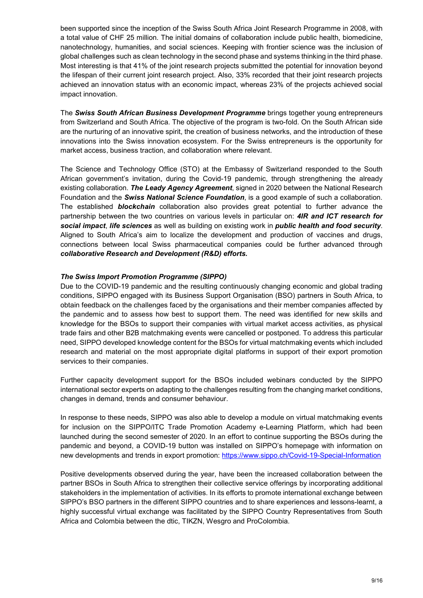been supported since the inception of the Swiss South Africa Joint Research Programme in 2008, with a total value of CHF 25 million. The initial domains of collaboration include public health, biomedicine, nanotechnology, humanities, and social sciences. Keeping with frontier science was the inclusion of global challenges such as clean technology in the second phase and systems thinking in the third phase. Most interesting is that 41% of the joint research projects submitted the potential for innovation beyond the lifespan of their current joint research project. Also, 33% recorded that their joint research projects achieved an innovation status with an economic impact, whereas 23% of the projects achieved social impact innovation.

The Swiss South African Business Development Programme brings together young entrepreneurs from Switzerland and South Africa. The objective of the program is two-fold. On the South African side are the nurturing of an innovative spirit, the creation of business networks, and the introduction of these innovations into the Swiss innovation ecosystem. For the Swiss entrepreneurs is the opportunity for market access, business traction, and collaboration where relevant.

The Science and Technology Office (STO) at the Embassy of Switzerland responded to the South African government's invitation, during the Covid-19 pandemic, through strengthening the already existing collaboration. The Leady Agency Agreement, signed in 2020 between the National Research Foundation and the Swiss National Science Foundation, is a good example of such a collaboration. The established **blockchain** collaboration also provides great potential to further advance the partnership between the two countries on various levels in particular on: 4IR and ICT research for social impact, life sciences as well as building on existing work in public health and food security. Aligned to South Africa's aim to localize the development and production of vaccines and drugs, connections between local Swiss pharmaceutical companies could be further advanced through collaborative Research and Development (R&D) efforts.

#### The Swiss Import Promotion Programme (SIPPO)

Due to the COVID-19 pandemic and the resulting continuously changing economic and global trading conditions, SIPPO engaged with its Business Support Organisation (BSO) partners in South Africa, to obtain feedback on the challenges faced by the organisations and their member companies affected by the pandemic and to assess how best to support them. The need was identified for new skills and knowledge for the BSOs to support their companies with virtual market access activities, as physical trade fairs and other B2B matchmaking events were cancelled or postponed. To address this particular need, SIPPO developed knowledge content for the BSOs for virtual matchmaking events which included research and material on the most appropriate digital platforms in support of their export promotion services to their companies.

Further capacity development support for the BSOs included webinars conducted by the SIPPO international sector experts on adapting to the challenges resulting from the changing market conditions, changes in demand, trends and consumer behaviour.

In response to these needs, SIPPO was also able to develop a module on virtual matchmaking events for inclusion on the SIPPO/ITC Trade Promotion Academy e-Learning Platform, which had been launched during the second semester of 2020. In an effort to continue supporting the BSOs during the pandemic and beyond, a COVID-19 button was installed on SIPPO's homepage with information on new developments and trends in export promotion: https://www.sippo.ch/Covid-19-Special-Information

Positive developments observed during the year, have been the increased collaboration between the partner BSOs in South Africa to strengthen their collective service offerings by incorporating additional stakeholders in the implementation of activities. In its efforts to promote international exchange between SIPPO's BSO partners in the different SIPPO countries and to share experiences and lessons-learnt, a highly successful virtual exchange was facilitated by the SIPPO Country Representatives from South Africa and Colombia between the dtic, TIKZN, Wesgro and ProColombia.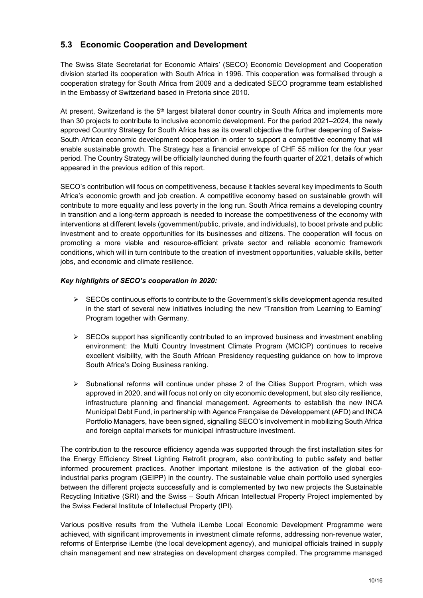## 5.3 Economic Cooperation and Development

The Swiss State Secretariat for Economic Affairs' (SECO) Economic Development and Cooperation division started its cooperation with South Africa in 1996. This cooperation was formalised through a cooperation strategy for South Africa from 2009 and a dedicated SECO programme team established in the Embassy of Switzerland based in Pretoria since 2010.

At present, Switzerland is the  $5<sup>th</sup>$  largest bilateral donor country in South Africa and implements more than 30 projects to contribute to inclusive economic development. For the period 2021–2024, the newly approved Country Strategy for South Africa has as its overall objective the further deepening of Swiss-South African economic development cooperation in order to support a competitive economy that will enable sustainable growth. The Strategy has a financial envelope of CHF 55 million for the four year period. The Country Strategy will be officially launched during the fourth quarter of 2021, details of which appeared in the previous edition of this report.

SECO's contribution will focus on competitiveness, because it tackles several key impediments to South Africa's economic growth and job creation. A competitive economy based on sustainable growth will contribute to more equality and less poverty in the long run. South Africa remains a developing country in transition and a long-term approach is needed to increase the competitiveness of the economy with interventions at different levels (government/public, private, and individuals), to boost private and public investment and to create opportunities for its businesses and citizens. The cooperation will focus on promoting a more viable and resource-efficient private sector and reliable economic framework conditions, which will in turn contribute to the creation of investment opportunities, valuable skills, better jobs, and economic and climate resilience.

#### Key highlights of SECO's cooperation in 2020:

- $\triangleright$  SECOs continuous efforts to contribute to the Government's skills development agenda resulted in the start of several new initiatives including the new "Transition from Learning to Earning" Program together with Germany.
- $\triangleright$  SECOs support has significantly contributed to an improved business and investment enabling environment: the Multi Country Investment Climate Program (MCICP) continues to receive excellent visibility, with the South African Presidency requesting guidance on how to improve South Africa's Doing Business ranking.
- $\triangleright$  Subnational reforms will continue under phase 2 of the Cities Support Program, which was approved in 2020, and will focus not only on city economic development, but also city resilience, infrastructure planning and financial management. Agreements to establish the new INCA Municipal Debt Fund, in partnership with Agence Française de Développement (AFD) and INCA Portfolio Managers, have been signed, signalling SECO's involvement in mobilizing South Africa and foreign capital markets for municipal infrastructure investment.

The contribution to the resource efficiency agenda was supported through the first installation sites for the Energy Efficiency Street Lighting Retrofit program, also contributing to public safety and better informed procurement practices. Another important milestone is the activation of the global ecoindustrial parks program (GEIPP) in the country. The sustainable value chain portfolio used synergies between the different projects successfully and is complemented by two new projects the Sustainable Recycling Initiative (SRI) and the Swiss – South African Intellectual Property Project implemented by the Swiss Federal Institute of Intellectual Property (IPI).

Various positive results from the Vuthela iLembe Local Economic Development Programme were achieved, with significant improvements in investment climate reforms, addressing non-revenue water, reforms of Enterprise iLembe (the local development agency), and municipal officials trained in supply chain management and new strategies on development charges compiled. The programme managed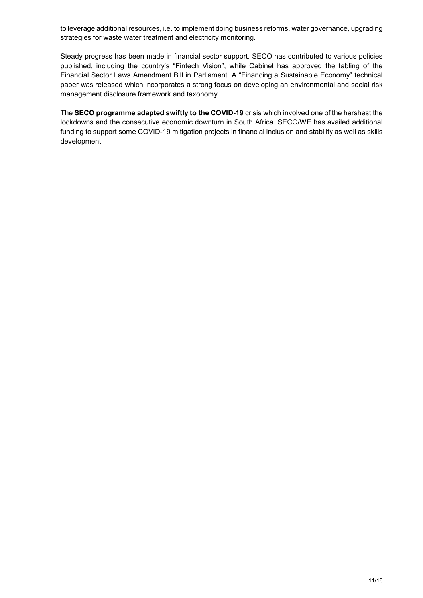to leverage additional resources, i.e. to implement doing business reforms, water governance, upgrading strategies for waste water treatment and electricity monitoring.

Steady progress has been made in financial sector support. SECO has contributed to various policies published, including the country's "Fintech Vision", while Cabinet has approved the tabling of the Financial Sector Laws Amendment Bill in Parliament. A "Financing a Sustainable Economy" technical paper was released which incorporates a strong focus on developing an environmental and social risk management disclosure framework and taxonomy.

The SECO programme adapted swiftly to the COVID-19 crisis which involved one of the harshest the lockdowns and the consecutive economic downturn in South Africa. SECO/WE has availed additional funding to support some COVID-19 mitigation projects in financial inclusion and stability as well as skills development.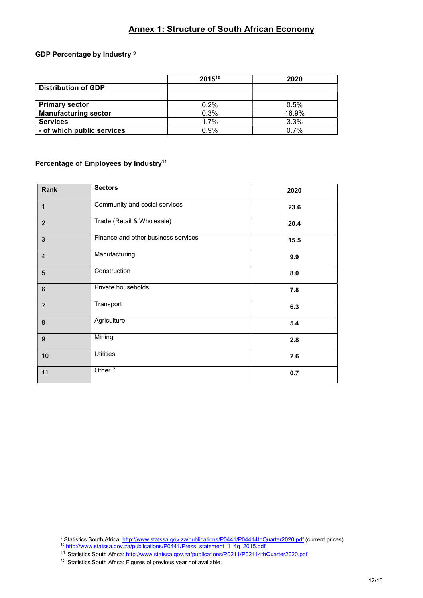## Annex 1: Structure of South African Economy

#### GDP Percentage by Industry 9

|                             | $2015^{10}$ | 2020  |
|-----------------------------|-------------|-------|
| <b>Distribution of GDP</b>  |             |       |
|                             |             |       |
| <b>Primary sector</b>       | 0.2%        | 0.5%  |
| <b>Manufacturing sector</b> | 0.3%        | 16.9% |
| <b>Services</b>             | 1.7%        | 3.3%  |
| - of which public services  | 0.9%        | 0.7%  |

#### Percentage of Employees by Industry<sup>11</sup>

| Rank           | <b>Sectors</b>                      | 2020 |
|----------------|-------------------------------------|------|
| $\mathbf{1}$   | Community and social services       | 23.6 |
| $\overline{2}$ | Trade (Retail & Wholesale)          | 20.4 |
| 3              | Finance and other business services | 15.5 |
| $\overline{4}$ | Manufacturing                       | 9.9  |
| 5              | Construction                        | 8.0  |
| $6\phantom{1}$ | Private households                  | 7.8  |
| $\overline{7}$ | Transport                           | 6.3  |
| 8              | Agriculture                         | 5.4  |
| 9              | Mining                              | 2.8  |
| 10             | <b>Utilities</b>                    | 2.6  |
| 11             | Other <sup>12</sup>                 | 0.7  |

 9 Statistics South Africa: http://www.statssa.gov.za/publications/P0441/P04414thQuarter2020.pdf (current prices)

<sup>&</sup>lt;sup>10</sup> http://www.statssa.gov.za/publications/P0441/Press\_statement\_1\_4q\_2015.pdf

<sup>&</sup>lt;sup>11</sup> Statistics South Africa: http://www.statssa.gov.za/publications/P0211/P02114thQuarter2020.pdf

<sup>12</sup> Statistics South Africa: Figures of previous year not available.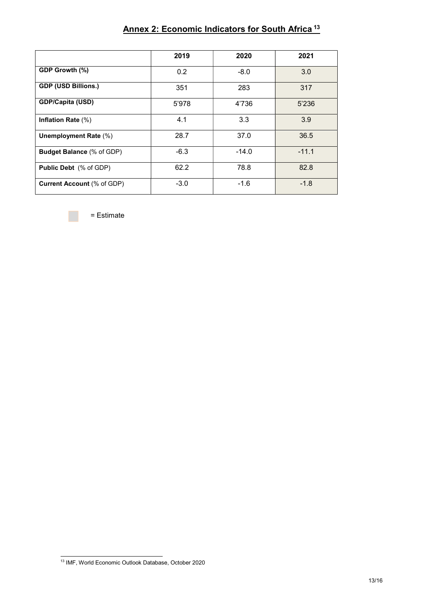|                                   | 2019   | 2020    | 2021    |
|-----------------------------------|--------|---------|---------|
| GDP Growth (%)                    | 0.2    | $-8.0$  | 3.0     |
| <b>GDP (USD Billions.)</b>        | 351    | 283     | 317     |
| GDP/Capita (USD)                  | 5'978  | 4'736   | 5'236   |
| Inflation Rate (%)                | 4.1    | 3.3     | 3.9     |
| Unemployment Rate (%)             | 28.7   | 37.0    | 36.5    |
| <b>Budget Balance (% of GDP)</b>  | $-6.3$ | $-14.0$ | $-11.1$ |
| <b>Public Debt</b> (% of GDP)     | 62.2   | 78.8    | 82.8    |
| <b>Current Account (% of GDP)</b> | $-3.0$ | $-1.6$  | $-1.8$  |

# Annex 2: Economic Indicators for South Africa<sup>13</sup>

= Estimate

<sup>-</sup>13 IMF, World Economic Outlook Database, October 2020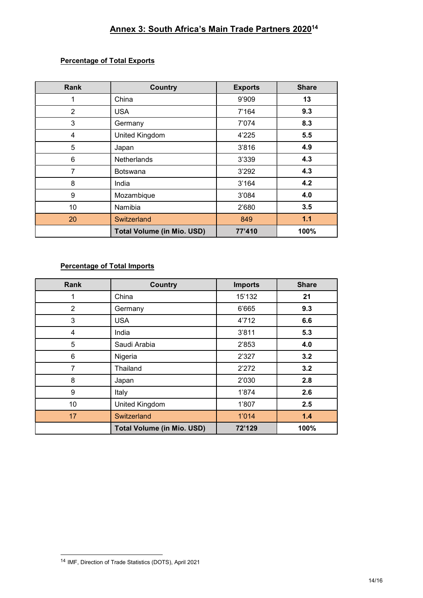# Annex 3: South Africa's Main Trade Partners 2020<sup>14</sup>

#### Percentage of Total Exports

| <b>Rank</b>    | <b>Country</b>                    | <b>Exports</b> | <b>Share</b> |
|----------------|-----------------------------------|----------------|--------------|
|                | China                             | 9'909          | 13           |
| $\overline{2}$ | <b>USA</b>                        | 7'164          | 9.3          |
| 3              | Germany                           | 7'074          | 8.3          |
| 4              | <b>United Kingdom</b>             | 4'225          | 5.5          |
| 5              | Japan                             | 3'816          | 4.9          |
| 6              | <b>Netherlands</b>                | 3'339          | 4.3          |
| 7              | <b>Botswana</b>                   | 3'292          | 4.3          |
| 8              | India                             | 3'164          | 4.2          |
| 9              | Mozambique                        | 3'084          | 4.0          |
| 10             | Namibia                           | 2'680          | 3.5          |
| 20             | Switzerland                       | 849            | $1.1$        |
|                | <b>Total Volume (in Mio. USD)</b> | 77'410         | 100%         |

## Percentage of Total Imports

| <b>Rank</b> | <b>Country</b>                    | <b>Imports</b> | <b>Share</b> |
|-------------|-----------------------------------|----------------|--------------|
|             | China                             | 15'132         | 21           |
| 2           | Germany                           | 6'665          | 9.3          |
| 3           | <b>USA</b>                        | 4'712          | 6.6          |
| 4           | India                             | 3'811          | 5.3          |
| 5           | Saudi Arabia                      | 2'853          | 4.0          |
| 6           | Nigeria                           | 2'327          | 3.2          |
| 7           | Thailand                          | 2'272          | 3.2          |
| 8           | Japan                             | 2'030          | 2.8          |
| 9           | Italy                             | 1'874          | 2.6          |
| 10          | <b>United Kingdom</b>             | 1'807          | 2.5          |
| 17          | Switzerland                       | 1'014          | 1.4          |
|             | <b>Total Volume (in Mio. USD)</b> | 72'129         | 100%         |

<sup>14</sup> IMF, Direction of Trade Statistics (DOTS), April 2021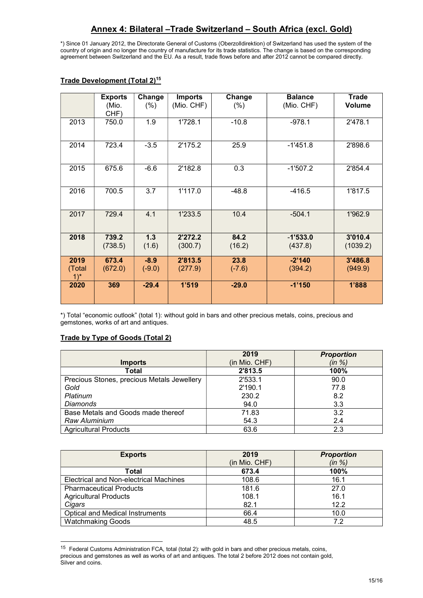\*) Since 01 January 2012, the Directorate General of Customs (Oberzolldirektion) of Switzerland has used the system of the country of origin and no longer the country of manufacture for its trade statistics. The change is based on the corresponding agreement between Switzerland and the EU. As a result, trade flows before and after 2012 cannot be compared directly.

|                | <b>Exports</b><br>(Mio.<br>CHF) | Change<br>(%)      | <b>Imports</b><br>(Mio. CHF) | Change<br>(% )   | <b>Balance</b><br>(Mio. CHF) | <b>Trade</b><br><b>Volume</b> |
|----------------|---------------------------------|--------------------|------------------------------|------------------|------------------------------|-------------------------------|
| 2013           | 750.0                           | 1.9                | 1'728.1                      | $-10.8$          | $-978.1$                     | 2'478.1                       |
| 2014           | 723.4                           | $-3.5$             | 2'175.2                      | 25.9             | $-1'451.8$                   | 2'898.6                       |
| 2015           | 675.6                           | $-6.6$             | 2'182.8                      | 0.3              | $-1'507.2$                   | 2'854.4                       |
| 2016           | 700.5                           | 3.7                | 1'117.0                      | $-48.8$          | $-416.5$                     | 1'817.5                       |
| 2017           | 729.4                           | 4.1                | 1'233.5                      | 10.4             | $-504.1$                     | 1'962.9                       |
| 2018           | 739.2<br>(738.5)                | 1.3<br>(1.6)       | 2'272.2<br>(300.7)           | 84.2<br>(16.2)   | $-1'533.0$<br>(437.8)        | 3'010.4<br>(1039.2)           |
| 2019<br>(Total | 673.4<br>(672.0)                | $-8.9$<br>$(-9.0)$ | 2'813.5<br>(277.9)           | 23.8<br>$(-7.6)$ | $-2'140$<br>(394.2)          | 3'486.8<br>(949.9)            |
| $1)^*$         |                                 |                    |                              |                  |                              |                               |
| 2020           | 369                             | $-29.4$            | 1'519                        | $-29.0$          | $-1'150$                     | 1'888                         |

## Trade Development (Total 2)<sup>15</sup>

\*) Total "economic outlook" (total 1): without gold in bars and other precious metals, coins, precious and gemstones, works of art and antiques.

#### Trade by Type of Goods (Total 2)

|                                            | 2019          | <b>Proportion</b> |
|--------------------------------------------|---------------|-------------------|
| <b>Imports</b>                             | (in Mio. CHF) | (in %)            |
| <b>Total</b>                               | 2'813.5       | 100%              |
| Precious Stones, precious Metals Jewellery | 2'533.1       | 90.0              |
| Gold                                       | 2'190.1       | 77.8              |
| Platinum                                   | 230.2         | 8.2               |
| <b>Diamonds</b>                            | 94.0          | 3.3               |
| Base Metals and Goods made thereof         | 71.83         | 3.2               |
| Raw Aluminium                              | 54.3          | 2.4               |
| <b>Agricultural Products</b>               | 63.6          | 2.3               |

| <b>Exports</b>                         | 2019          | <b>Proportion</b> |  |
|----------------------------------------|---------------|-------------------|--|
|                                        | (in Mio. CHF) | (in %)            |  |
| Total                                  | 673.4         | 100%              |  |
| Electrical and Non-electrical Machines | 108.6         | 16.1              |  |
| <b>Pharmaceutical Products</b>         | 181.6         | 27.0              |  |
| <b>Agricultural Products</b>           | 108.1         | 16.1              |  |
| Cigars                                 | 82.1          | 12.2              |  |
| <b>Optical and Medical Instruments</b> | 66.4          | 10.0              |  |
| <b>Watchmaking Goods</b>               | 48.5          | 7.2               |  |

<sup>15</sup> Federal Customs Administration FCA, total (total 2): with gold in bars and other precious metals, coins, precious and gemstones as well as works of art and antiques. The total 2 before 2012 does not contain gold, Silver and coins.